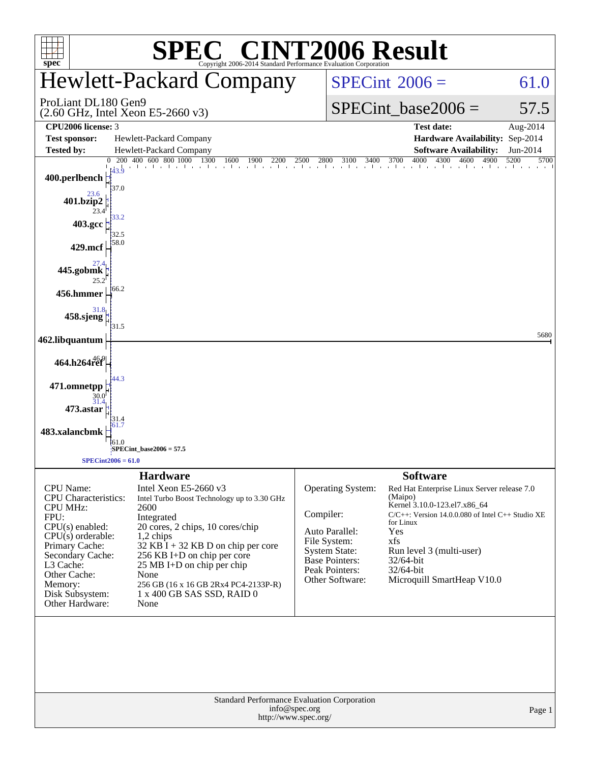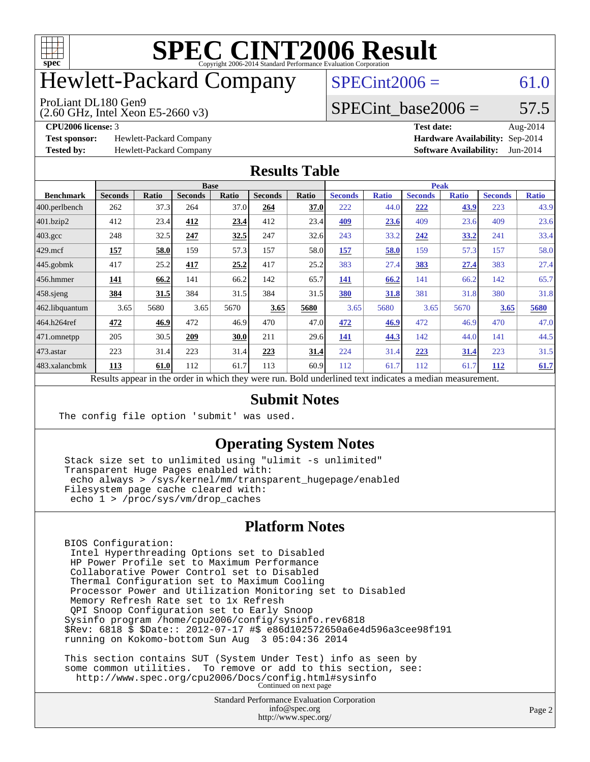

# Hewlett-Packard Company

#### ProLiant DL180 Gen9

(2.60 GHz, Intel Xeon E5-2660 v3)

 $SPECint2006 = 61.0$  $SPECint2006 = 61.0$ 

#### SPECint base2006 =  $57.5$

**[Test sponsor:](http://www.spec.org/auto/cpu2006/Docs/result-fields.html#Testsponsor)** Hewlett-Packard Company **[Hardware Availability:](http://www.spec.org/auto/cpu2006/Docs/result-fields.html#HardwareAvailability)** Sep-2014

**[CPU2006 license:](http://www.spec.org/auto/cpu2006/Docs/result-fields.html#CPU2006license)** 3 **[Test date:](http://www.spec.org/auto/cpu2006/Docs/result-fields.html#Testdate)** Aug-2014 **[Tested by:](http://www.spec.org/auto/cpu2006/Docs/result-fields.html#Testedby)** Hewlett-Packard Company **[Software Availability:](http://www.spec.org/auto/cpu2006/Docs/result-fields.html#SoftwareAvailability)** Jun-2014

#### **[Results Table](http://www.spec.org/auto/cpu2006/Docs/result-fields.html#ResultsTable)**

|                    | <b>Base</b>                                                                                              |       |                |       |                |       | <b>Peak</b>    |              |                |              |                |              |  |
|--------------------|----------------------------------------------------------------------------------------------------------|-------|----------------|-------|----------------|-------|----------------|--------------|----------------|--------------|----------------|--------------|--|
| <b>Benchmark</b>   | <b>Seconds</b>                                                                                           | Ratio | <b>Seconds</b> | Ratio | <b>Seconds</b> | Ratio | <b>Seconds</b> | <b>Ratio</b> | <b>Seconds</b> | <b>Ratio</b> | <b>Seconds</b> | <b>Ratio</b> |  |
| $ 400$ .perlbench  | 262                                                                                                      | 37.3  | 264            | 37.0  | 264            | 37.0  | 222            | 44.0         | 222            | 43.9         | 223            | 43.9         |  |
| 401.bzip2          | 412                                                                                                      | 23.4  | 412            | 23.4  | 412            | 23.4  | 409            | 23.6         | 409            | 23.6         | 409            | 23.6         |  |
| $403.\mathrm{gcc}$ | 248                                                                                                      | 32.5  | 247            | 32.5  | 247            | 32.6  | 243            | 33.2         | 242            | 33.2         | 241            | 33.4         |  |
| $429$ .mcf         | 157                                                                                                      | 58.0  | 159            | 57.3  | 157            | 58.0  | 157            | 58.0         | 159            | 57.3         | 157            | 58.0         |  |
| $445$ .gobmk       | 417                                                                                                      | 25.2  | 417            | 25.2  | 417            | 25.2  | 383            | 27.4         | 383            | 27.4         | 383            | 27.4         |  |
| $456.$ hmmer       | 141                                                                                                      | 66.2  | 141            | 66.2  | 142            | 65.7  | 141            | 66.2         | 141            | 66.2         | 142            | 65.7         |  |
| $458$ .sjeng       | 384                                                                                                      | 31.5  | 384            | 31.5  | 384            | 31.5  | 380            | 31.8         | 381            | 31.8         | 380            | 31.8         |  |
| 462.libquantum     | 3.65                                                                                                     | 5680  | 3.65           | 5670  | 3.65           | 5680  | 3.65           | 5680         | 3.65           | 5670         | 3.65           | 5680         |  |
| 464.h264ref        | 472                                                                                                      | 46.9  | 472            | 46.9  | 470            | 47.0  | 472            | 46.9         | 472            | 46.9         | 470            | 47.0         |  |
| 471.omnetpp        | 205                                                                                                      | 30.5  | 209            | 30.0  | 211            | 29.6  | 141            | 44.3         | 142            | 44.0         | 141            | 44.5         |  |
| $473$ . astar      | 223                                                                                                      | 31.4  | 223            | 31.4  | 223            | 31.4  | 224            | 31.4         | 223            | 31.4         | 223            | 31.5         |  |
| 483.xalancbmk      | 113                                                                                                      | 61.0  | 112            | 61.7  | 113            | 60.9  | 112            | 61.7         | 112            | 61.7         | 112            | 61.7         |  |
|                    | Results appear in the order in which they were run. Bold underlined text indicates a median measurement. |       |                |       |                |       |                |              |                |              |                |              |  |

#### **[Submit Notes](http://www.spec.org/auto/cpu2006/Docs/result-fields.html#SubmitNotes)**

The config file option 'submit' was used.

#### **[Operating System Notes](http://www.spec.org/auto/cpu2006/Docs/result-fields.html#OperatingSystemNotes)**

 Stack size set to unlimited using "ulimit -s unlimited" Transparent Huge Pages enabled with: echo always > /sys/kernel/mm/transparent\_hugepage/enabled Filesystem page cache cleared with: echo 1 > /proc/sys/vm/drop\_caches

#### **[Platform Notes](http://www.spec.org/auto/cpu2006/Docs/result-fields.html#PlatformNotes)**

 BIOS Configuration: Intel Hyperthreading Options set to Disabled HP Power Profile set to Maximum Performance Collaborative Power Control set to Disabled Thermal Configuration set to Maximum Cooling Processor Power and Utilization Monitoring set to Disabled Memory Refresh Rate set to 1x Refresh QPI Snoop Configuration set to Early Snoop Sysinfo program /home/cpu2006/config/sysinfo.rev6818 \$Rev: 6818 \$ \$Date:: 2012-07-17 #\$ e86d102572650a6e4d596a3cee98f191 running on Kokomo-bottom Sun Aug 3 05:04:36 2014

 This section contains SUT (System Under Test) info as seen by some common utilities. To remove or add to this section, see: <http://www.spec.org/cpu2006/Docs/config.html#sysinfo> Continued on next page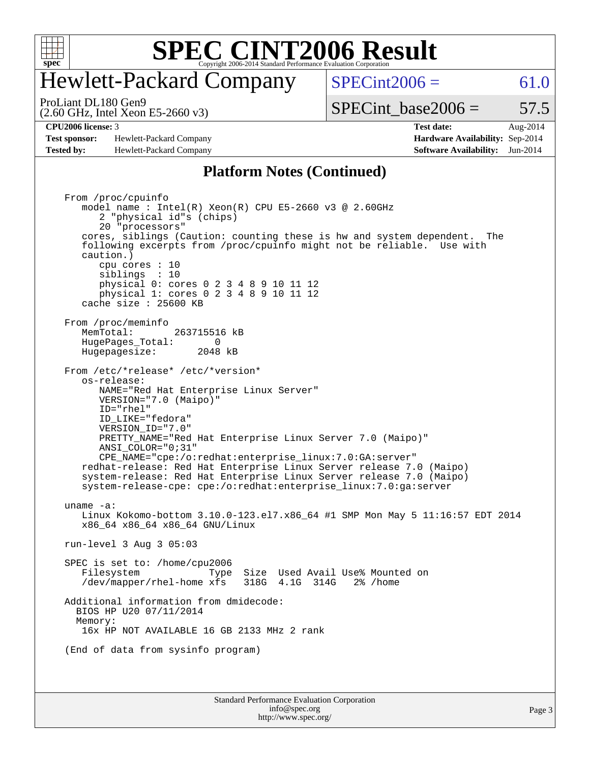

## Hewlett-Packard Company

 $SPECint2006 = 61.0$  $SPECint2006 = 61.0$ 

(2.60 GHz, Intel Xeon E5-2660 v3) ProLiant DL180 Gen9

SPECint base2006 =  $57.5$ 

**[Test sponsor:](http://www.spec.org/auto/cpu2006/Docs/result-fields.html#Testsponsor)** Hewlett-Packard Company **[Hardware Availability:](http://www.spec.org/auto/cpu2006/Docs/result-fields.html#HardwareAvailability)** Sep-2014 **[Tested by:](http://www.spec.org/auto/cpu2006/Docs/result-fields.html#Testedby)** Hewlett-Packard Company **[Software Availability:](http://www.spec.org/auto/cpu2006/Docs/result-fields.html#SoftwareAvailability)** Jun-2014

**[CPU2006 license:](http://www.spec.org/auto/cpu2006/Docs/result-fields.html#CPU2006license)** 3 **[Test date:](http://www.spec.org/auto/cpu2006/Docs/result-fields.html#Testdate)** Aug-2014

#### **[Platform Notes \(Continued\)](http://www.spec.org/auto/cpu2006/Docs/result-fields.html#PlatformNotes)**

Standard Performance Evaluation Corporation From /proc/cpuinfo model name : Intel(R) Xeon(R) CPU E5-2660 v3 @ 2.60GHz 2 "physical id"s (chips) 20 "processors" cores, siblings (Caution: counting these is hw and system dependent. The following excerpts from /proc/cpuinfo might not be reliable. Use with caution.) cpu cores : 10 siblings : 10 physical 0: cores 0 2 3 4 8 9 10 11 12 physical 1: cores 0 2 3 4 8 9 10 11 12 cache size : 25600 KB From /proc/meminfo MemTotal: 263715516 kB<br>HugePages Total: 0 HugePages\_Total: 0 Hugepagesize: 2048 kB From /etc/\*release\* /etc/\*version\* os-release: NAME="Red Hat Enterprise Linux Server" VERSION="7.0 (Maipo)" ID="rhel" ID\_LIKE="fedora" VERSION\_ID="7.0" PRETTY\_NAME="Red Hat Enterprise Linux Server 7.0 (Maipo)" ANSI\_COLOR="0;31" CPE\_NAME="cpe:/o:redhat:enterprise\_linux:7.0:GA:server" redhat-release: Red Hat Enterprise Linux Server release 7.0 (Maipo) system-release: Red Hat Enterprise Linux Server release 7.0 (Maipo) system-release-cpe: cpe:/o:redhat:enterprise\_linux:7.0:ga:server uname -a: Linux Kokomo-bottom 3.10.0-123.el7.x86\_64 #1 SMP Mon May 5 11:16:57 EDT 2014 x86\_64 x86\_64 x86\_64 GNU/Linux run-level 3 Aug 3 05:03 SPEC is set to: /home/cpu2006 Filesystem Type Size Used Avail Use% Mounted on /dev/mapper/rhel-home xfs 318G 4.1G 314G 2% /home Additional information from dmidecode: BIOS HP U20 07/11/2014 Memory: 16x HP NOT AVAILABLE 16 GB 2133 MHz 2 rank (End of data from sysinfo program)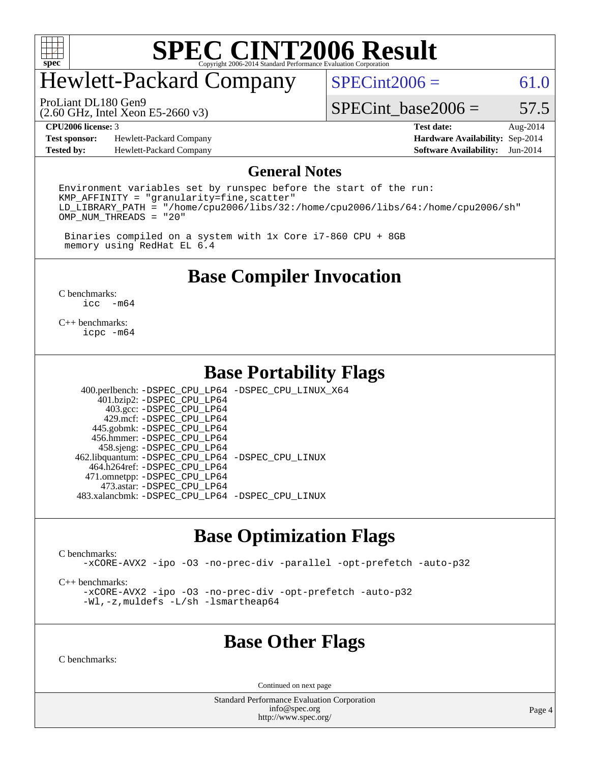

# Hewlett-Packard Company

ProLiant DL180 Gen9

 $SPECint2006 = 61.0$  $SPECint2006 = 61.0$ 

(2.60 GHz, Intel Xeon E5-2660 v3)

SPECint base2006 =  $57.5$ 

**[Test sponsor:](http://www.spec.org/auto/cpu2006/Docs/result-fields.html#Testsponsor)** Hewlett-Packard Company **[Hardware Availability:](http://www.spec.org/auto/cpu2006/Docs/result-fields.html#HardwareAvailability)** Sep-2014 **[Tested by:](http://www.spec.org/auto/cpu2006/Docs/result-fields.html#Testedby)** Hewlett-Packard Company **[Software Availability:](http://www.spec.org/auto/cpu2006/Docs/result-fields.html#SoftwareAvailability)** Jun-2014

**[CPU2006 license:](http://www.spec.org/auto/cpu2006/Docs/result-fields.html#CPU2006license)** 3 **[Test date:](http://www.spec.org/auto/cpu2006/Docs/result-fields.html#Testdate)** Aug-2014

#### **[General Notes](http://www.spec.org/auto/cpu2006/Docs/result-fields.html#GeneralNotes)**

Environment variables set by runspec before the start of the run:  $KMP$  AFFINITY = "granularity=fine, scatter" LD\_LIBRARY\_PATH = "/home/cpu2006/libs/32:/home/cpu2006/libs/64:/home/cpu2006/sh" OMP\_NUM\_THREADS = "20"

 Binaries compiled on a system with 1x Core i7-860 CPU + 8GB memory using RedHat EL 6.4

#### **[Base Compiler Invocation](http://www.spec.org/auto/cpu2006/Docs/result-fields.html#BaseCompilerInvocation)**

[C benchmarks](http://www.spec.org/auto/cpu2006/Docs/result-fields.html#Cbenchmarks):  $\text{icc}$  -m64

[C++ benchmarks:](http://www.spec.org/auto/cpu2006/Docs/result-fields.html#CXXbenchmarks) [icpc -m64](http://www.spec.org/cpu2006/results/res2014q3/cpu2006-20140908-31272.flags.html#user_CXXbase_intel_icpc_64bit_fc66a5337ce925472a5c54ad6a0de310)

#### **[Base Portability Flags](http://www.spec.org/auto/cpu2006/Docs/result-fields.html#BasePortabilityFlags)**

 400.perlbench: [-DSPEC\\_CPU\\_LP64](http://www.spec.org/cpu2006/results/res2014q3/cpu2006-20140908-31272.flags.html#b400.perlbench_basePORTABILITY_DSPEC_CPU_LP64) [-DSPEC\\_CPU\\_LINUX\\_X64](http://www.spec.org/cpu2006/results/res2014q3/cpu2006-20140908-31272.flags.html#b400.perlbench_baseCPORTABILITY_DSPEC_CPU_LINUX_X64) 401.bzip2: [-DSPEC\\_CPU\\_LP64](http://www.spec.org/cpu2006/results/res2014q3/cpu2006-20140908-31272.flags.html#suite_basePORTABILITY401_bzip2_DSPEC_CPU_LP64) 403.gcc: [-DSPEC\\_CPU\\_LP64](http://www.spec.org/cpu2006/results/res2014q3/cpu2006-20140908-31272.flags.html#suite_basePORTABILITY403_gcc_DSPEC_CPU_LP64) 429.mcf: [-DSPEC\\_CPU\\_LP64](http://www.spec.org/cpu2006/results/res2014q3/cpu2006-20140908-31272.flags.html#suite_basePORTABILITY429_mcf_DSPEC_CPU_LP64) 445.gobmk: [-DSPEC\\_CPU\\_LP64](http://www.spec.org/cpu2006/results/res2014q3/cpu2006-20140908-31272.flags.html#suite_basePORTABILITY445_gobmk_DSPEC_CPU_LP64) 456.hmmer: [-DSPEC\\_CPU\\_LP64](http://www.spec.org/cpu2006/results/res2014q3/cpu2006-20140908-31272.flags.html#suite_basePORTABILITY456_hmmer_DSPEC_CPU_LP64) 458.sjeng: [-DSPEC\\_CPU\\_LP64](http://www.spec.org/cpu2006/results/res2014q3/cpu2006-20140908-31272.flags.html#suite_basePORTABILITY458_sjeng_DSPEC_CPU_LP64) 462.libquantum: [-DSPEC\\_CPU\\_LP64](http://www.spec.org/cpu2006/results/res2014q3/cpu2006-20140908-31272.flags.html#suite_basePORTABILITY462_libquantum_DSPEC_CPU_LP64) [-DSPEC\\_CPU\\_LINUX](http://www.spec.org/cpu2006/results/res2014q3/cpu2006-20140908-31272.flags.html#b462.libquantum_baseCPORTABILITY_DSPEC_CPU_LINUX) 464.h264ref: [-DSPEC\\_CPU\\_LP64](http://www.spec.org/cpu2006/results/res2014q3/cpu2006-20140908-31272.flags.html#suite_basePORTABILITY464_h264ref_DSPEC_CPU_LP64) 471.omnetpp: [-DSPEC\\_CPU\\_LP64](http://www.spec.org/cpu2006/results/res2014q3/cpu2006-20140908-31272.flags.html#suite_basePORTABILITY471_omnetpp_DSPEC_CPU_LP64) 473.astar: [-DSPEC\\_CPU\\_LP64](http://www.spec.org/cpu2006/results/res2014q3/cpu2006-20140908-31272.flags.html#suite_basePORTABILITY473_astar_DSPEC_CPU_LP64) 483.xalancbmk: [-DSPEC\\_CPU\\_LP64](http://www.spec.org/cpu2006/results/res2014q3/cpu2006-20140908-31272.flags.html#suite_basePORTABILITY483_xalancbmk_DSPEC_CPU_LP64) [-DSPEC\\_CPU\\_LINUX](http://www.spec.org/cpu2006/results/res2014q3/cpu2006-20140908-31272.flags.html#b483.xalancbmk_baseCXXPORTABILITY_DSPEC_CPU_LINUX)

### **[Base Optimization Flags](http://www.spec.org/auto/cpu2006/Docs/result-fields.html#BaseOptimizationFlags)**

[C benchmarks](http://www.spec.org/auto/cpu2006/Docs/result-fields.html#Cbenchmarks):

[-xCORE-AVX2](http://www.spec.org/cpu2006/results/res2014q3/cpu2006-20140908-31272.flags.html#user_CCbase_f-xAVX2_5f5fc0cbe2c9f62c816d3e45806c70d7) [-ipo](http://www.spec.org/cpu2006/results/res2014q3/cpu2006-20140908-31272.flags.html#user_CCbase_f-ipo) [-O3](http://www.spec.org/cpu2006/results/res2014q3/cpu2006-20140908-31272.flags.html#user_CCbase_f-O3) [-no-prec-div](http://www.spec.org/cpu2006/results/res2014q3/cpu2006-20140908-31272.flags.html#user_CCbase_f-no-prec-div) [-parallel](http://www.spec.org/cpu2006/results/res2014q3/cpu2006-20140908-31272.flags.html#user_CCbase_f-parallel) [-opt-prefetch](http://www.spec.org/cpu2006/results/res2014q3/cpu2006-20140908-31272.flags.html#user_CCbase_f-opt-prefetch) [-auto-p32](http://www.spec.org/cpu2006/results/res2014q3/cpu2006-20140908-31272.flags.html#user_CCbase_f-auto-p32)

[C++ benchmarks:](http://www.spec.org/auto/cpu2006/Docs/result-fields.html#CXXbenchmarks)

[-xCORE-AVX2](http://www.spec.org/cpu2006/results/res2014q3/cpu2006-20140908-31272.flags.html#user_CXXbase_f-xAVX2_5f5fc0cbe2c9f62c816d3e45806c70d7) [-ipo](http://www.spec.org/cpu2006/results/res2014q3/cpu2006-20140908-31272.flags.html#user_CXXbase_f-ipo) [-O3](http://www.spec.org/cpu2006/results/res2014q3/cpu2006-20140908-31272.flags.html#user_CXXbase_f-O3) [-no-prec-div](http://www.spec.org/cpu2006/results/res2014q3/cpu2006-20140908-31272.flags.html#user_CXXbase_f-no-prec-div) [-opt-prefetch](http://www.spec.org/cpu2006/results/res2014q3/cpu2006-20140908-31272.flags.html#user_CXXbase_f-opt-prefetch) [-auto-p32](http://www.spec.org/cpu2006/results/res2014q3/cpu2006-20140908-31272.flags.html#user_CXXbase_f-auto-p32) [-Wl,-z,muldefs](http://www.spec.org/cpu2006/results/res2014q3/cpu2006-20140908-31272.flags.html#user_CXXbase_link_force_multiple1_74079c344b956b9658436fd1b6dd3a8a) [-L/sh -lsmartheap64](http://www.spec.org/cpu2006/results/res2014q3/cpu2006-20140908-31272.flags.html#user_CXXbase_SmartHeap64_ed4ef857ce90951921efb0d91eb88472)

#### **[Base Other Flags](http://www.spec.org/auto/cpu2006/Docs/result-fields.html#BaseOtherFlags)**

[C benchmarks](http://www.spec.org/auto/cpu2006/Docs/result-fields.html#Cbenchmarks):

Continued on next page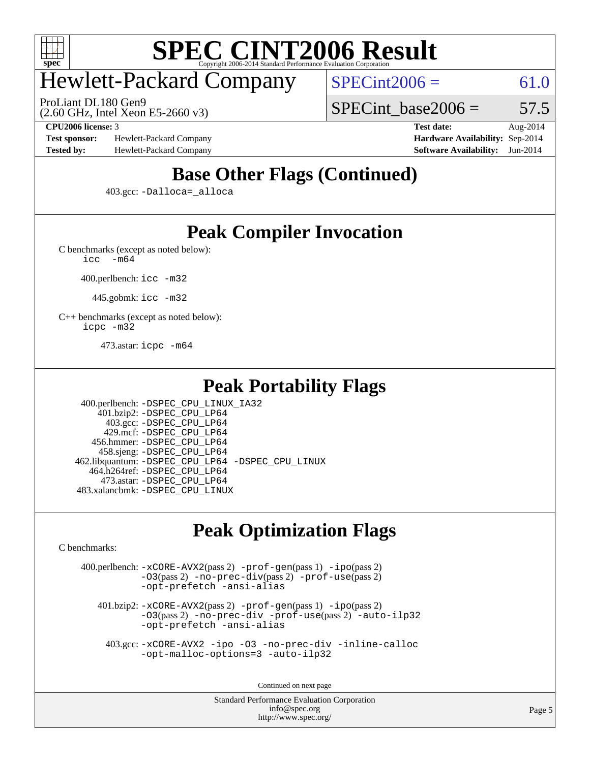

# Hewlett-Packard Company

ProLiant DL180 Gen9

 $SPECint2006 = 61.0$  $SPECint2006 = 61.0$ 

(2.60 GHz, Intel Xeon E5-2660 v3)

SPECint base2006 =  $57.5$ 

**[Test sponsor:](http://www.spec.org/auto/cpu2006/Docs/result-fields.html#Testsponsor)** Hewlett-Packard Company **[Hardware Availability:](http://www.spec.org/auto/cpu2006/Docs/result-fields.html#HardwareAvailability)** Sep-2014 **[Tested by:](http://www.spec.org/auto/cpu2006/Docs/result-fields.html#Testedby)** Hewlett-Packard Company **[Software Availability:](http://www.spec.org/auto/cpu2006/Docs/result-fields.html#SoftwareAvailability)** Jun-2014

**[CPU2006 license:](http://www.spec.org/auto/cpu2006/Docs/result-fields.html#CPU2006license)** 3 **[Test date:](http://www.spec.org/auto/cpu2006/Docs/result-fields.html#Testdate)** Aug-2014

## **[Base Other Flags \(Continued\)](http://www.spec.org/auto/cpu2006/Docs/result-fields.html#BaseOtherFlags)**

403.gcc: [-Dalloca=\\_alloca](http://www.spec.org/cpu2006/results/res2014q3/cpu2006-20140908-31272.flags.html#b403.gcc_baseEXTRA_CFLAGS_Dalloca_be3056838c12de2578596ca5467af7f3)

## **[Peak Compiler Invocation](http://www.spec.org/auto/cpu2006/Docs/result-fields.html#PeakCompilerInvocation)**

[C benchmarks \(except as noted below\)](http://www.spec.org/auto/cpu2006/Docs/result-fields.html#Cbenchmarksexceptasnotedbelow):

[icc -m64](http://www.spec.org/cpu2006/results/res2014q3/cpu2006-20140908-31272.flags.html#user_CCpeak_intel_icc_64bit_f346026e86af2a669e726fe758c88044)

400.perlbench: [icc -m32](http://www.spec.org/cpu2006/results/res2014q3/cpu2006-20140908-31272.flags.html#user_peakCCLD400_perlbench_intel_icc_a6a621f8d50482236b970c6ac5f55f93)

445.gobmk: [icc -m32](http://www.spec.org/cpu2006/results/res2014q3/cpu2006-20140908-31272.flags.html#user_peakCCLD445_gobmk_intel_icc_a6a621f8d50482236b970c6ac5f55f93)

[C++ benchmarks \(except as noted below\):](http://www.spec.org/auto/cpu2006/Docs/result-fields.html#CXXbenchmarksexceptasnotedbelow) [icpc -m32](http://www.spec.org/cpu2006/results/res2014q3/cpu2006-20140908-31272.flags.html#user_CXXpeak_intel_icpc_4e5a5ef1a53fd332b3c49e69c3330699)

473.astar: [icpc -m64](http://www.spec.org/cpu2006/results/res2014q3/cpu2006-20140908-31272.flags.html#user_peakCXXLD473_astar_intel_icpc_64bit_fc66a5337ce925472a5c54ad6a0de310)

### **[Peak Portability Flags](http://www.spec.org/auto/cpu2006/Docs/result-fields.html#PeakPortabilityFlags)**

 400.perlbench: [-DSPEC\\_CPU\\_LINUX\\_IA32](http://www.spec.org/cpu2006/results/res2014q3/cpu2006-20140908-31272.flags.html#b400.perlbench_peakCPORTABILITY_DSPEC_CPU_LINUX_IA32) 401.bzip2: [-DSPEC\\_CPU\\_LP64](http://www.spec.org/cpu2006/results/res2014q3/cpu2006-20140908-31272.flags.html#suite_peakPORTABILITY401_bzip2_DSPEC_CPU_LP64) 403.gcc: [-DSPEC\\_CPU\\_LP64](http://www.spec.org/cpu2006/results/res2014q3/cpu2006-20140908-31272.flags.html#suite_peakPORTABILITY403_gcc_DSPEC_CPU_LP64) 429.mcf: [-DSPEC\\_CPU\\_LP64](http://www.spec.org/cpu2006/results/res2014q3/cpu2006-20140908-31272.flags.html#suite_peakPORTABILITY429_mcf_DSPEC_CPU_LP64) 456.hmmer: [-DSPEC\\_CPU\\_LP64](http://www.spec.org/cpu2006/results/res2014q3/cpu2006-20140908-31272.flags.html#suite_peakPORTABILITY456_hmmer_DSPEC_CPU_LP64) 458.sjeng: [-DSPEC\\_CPU\\_LP64](http://www.spec.org/cpu2006/results/res2014q3/cpu2006-20140908-31272.flags.html#suite_peakPORTABILITY458_sjeng_DSPEC_CPU_LP64) 462.libquantum: [-DSPEC\\_CPU\\_LP64](http://www.spec.org/cpu2006/results/res2014q3/cpu2006-20140908-31272.flags.html#suite_peakPORTABILITY462_libquantum_DSPEC_CPU_LP64) [-DSPEC\\_CPU\\_LINUX](http://www.spec.org/cpu2006/results/res2014q3/cpu2006-20140908-31272.flags.html#b462.libquantum_peakCPORTABILITY_DSPEC_CPU_LINUX) 464.h264ref: [-DSPEC\\_CPU\\_LP64](http://www.spec.org/cpu2006/results/res2014q3/cpu2006-20140908-31272.flags.html#suite_peakPORTABILITY464_h264ref_DSPEC_CPU_LP64) 473.astar: [-DSPEC\\_CPU\\_LP64](http://www.spec.org/cpu2006/results/res2014q3/cpu2006-20140908-31272.flags.html#suite_peakPORTABILITY473_astar_DSPEC_CPU_LP64) 483.xalancbmk: [-DSPEC\\_CPU\\_LINUX](http://www.spec.org/cpu2006/results/res2014q3/cpu2006-20140908-31272.flags.html#b483.xalancbmk_peakCXXPORTABILITY_DSPEC_CPU_LINUX)

## **[Peak Optimization Flags](http://www.spec.org/auto/cpu2006/Docs/result-fields.html#PeakOptimizationFlags)**

[C benchmarks](http://www.spec.org/auto/cpu2006/Docs/result-fields.html#Cbenchmarks):

 400.perlbench: [-xCORE-AVX2](http://www.spec.org/cpu2006/results/res2014q3/cpu2006-20140908-31272.flags.html#user_peakPASS2_CFLAGSPASS2_LDCFLAGS400_perlbench_f-xAVX2_5f5fc0cbe2c9f62c816d3e45806c70d7)(pass 2) [-prof-gen](http://www.spec.org/cpu2006/results/res2014q3/cpu2006-20140908-31272.flags.html#user_peakPASS1_CFLAGSPASS1_LDCFLAGS400_perlbench_prof_gen_e43856698f6ca7b7e442dfd80e94a8fc)(pass 1) [-ipo](http://www.spec.org/cpu2006/results/res2014q3/cpu2006-20140908-31272.flags.html#user_peakPASS2_CFLAGSPASS2_LDCFLAGS400_perlbench_f-ipo)(pass 2) [-O3](http://www.spec.org/cpu2006/results/res2014q3/cpu2006-20140908-31272.flags.html#user_peakPASS2_CFLAGSPASS2_LDCFLAGS400_perlbench_f-O3)(pass 2) [-no-prec-div](http://www.spec.org/cpu2006/results/res2014q3/cpu2006-20140908-31272.flags.html#user_peakPASS2_CFLAGSPASS2_LDCFLAGS400_perlbench_f-no-prec-div)(pass 2) [-prof-use](http://www.spec.org/cpu2006/results/res2014q3/cpu2006-20140908-31272.flags.html#user_peakPASS2_CFLAGSPASS2_LDCFLAGS400_perlbench_prof_use_bccf7792157ff70d64e32fe3e1250b55)(pass 2) [-opt-prefetch](http://www.spec.org/cpu2006/results/res2014q3/cpu2006-20140908-31272.flags.html#user_peakCOPTIMIZE400_perlbench_f-opt-prefetch) [-ansi-alias](http://www.spec.org/cpu2006/results/res2014q3/cpu2006-20140908-31272.flags.html#user_peakCOPTIMIZE400_perlbench_f-ansi-alias) 401.bzip2: [-xCORE-AVX2](http://www.spec.org/cpu2006/results/res2014q3/cpu2006-20140908-31272.flags.html#user_peakPASS2_CFLAGSPASS2_LDCFLAGS401_bzip2_f-xAVX2_5f5fc0cbe2c9f62c816d3e45806c70d7)(pass 2) [-prof-gen](http://www.spec.org/cpu2006/results/res2014q3/cpu2006-20140908-31272.flags.html#user_peakPASS1_CFLAGSPASS1_LDCFLAGS401_bzip2_prof_gen_e43856698f6ca7b7e442dfd80e94a8fc)(pass 1) [-ipo](http://www.spec.org/cpu2006/results/res2014q3/cpu2006-20140908-31272.flags.html#user_peakPASS2_CFLAGSPASS2_LDCFLAGS401_bzip2_f-ipo)(pass 2) [-O3](http://www.spec.org/cpu2006/results/res2014q3/cpu2006-20140908-31272.flags.html#user_peakPASS2_CFLAGSPASS2_LDCFLAGS401_bzip2_f-O3)(pass 2) [-no-prec-div](http://www.spec.org/cpu2006/results/res2014q3/cpu2006-20140908-31272.flags.html#user_peakCOPTIMIZEPASS2_CFLAGSPASS2_LDCFLAGS401_bzip2_f-no-prec-div) [-prof-use](http://www.spec.org/cpu2006/results/res2014q3/cpu2006-20140908-31272.flags.html#user_peakPASS2_CFLAGSPASS2_LDCFLAGS401_bzip2_prof_use_bccf7792157ff70d64e32fe3e1250b55)(pass 2) [-auto-ilp32](http://www.spec.org/cpu2006/results/res2014q3/cpu2006-20140908-31272.flags.html#user_peakCOPTIMIZE401_bzip2_f-auto-ilp32) [-opt-prefetch](http://www.spec.org/cpu2006/results/res2014q3/cpu2006-20140908-31272.flags.html#user_peakCOPTIMIZE401_bzip2_f-opt-prefetch) [-ansi-alias](http://www.spec.org/cpu2006/results/res2014q3/cpu2006-20140908-31272.flags.html#user_peakCOPTIMIZE401_bzip2_f-ansi-alias)

 403.gcc: [-xCORE-AVX2](http://www.spec.org/cpu2006/results/res2014q3/cpu2006-20140908-31272.flags.html#user_peakCOPTIMIZE403_gcc_f-xAVX2_5f5fc0cbe2c9f62c816d3e45806c70d7) [-ipo](http://www.spec.org/cpu2006/results/res2014q3/cpu2006-20140908-31272.flags.html#user_peakCOPTIMIZE403_gcc_f-ipo) [-O3](http://www.spec.org/cpu2006/results/res2014q3/cpu2006-20140908-31272.flags.html#user_peakCOPTIMIZE403_gcc_f-O3) [-no-prec-div](http://www.spec.org/cpu2006/results/res2014q3/cpu2006-20140908-31272.flags.html#user_peakCOPTIMIZE403_gcc_f-no-prec-div) [-inline-calloc](http://www.spec.org/cpu2006/results/res2014q3/cpu2006-20140908-31272.flags.html#user_peakCOPTIMIZE403_gcc_f-inline-calloc) [-opt-malloc-options=3](http://www.spec.org/cpu2006/results/res2014q3/cpu2006-20140908-31272.flags.html#user_peakCOPTIMIZE403_gcc_f-opt-malloc-options_13ab9b803cf986b4ee62f0a5998c2238) [-auto-ilp32](http://www.spec.org/cpu2006/results/res2014q3/cpu2006-20140908-31272.flags.html#user_peakCOPTIMIZE403_gcc_f-auto-ilp32)

Continued on next page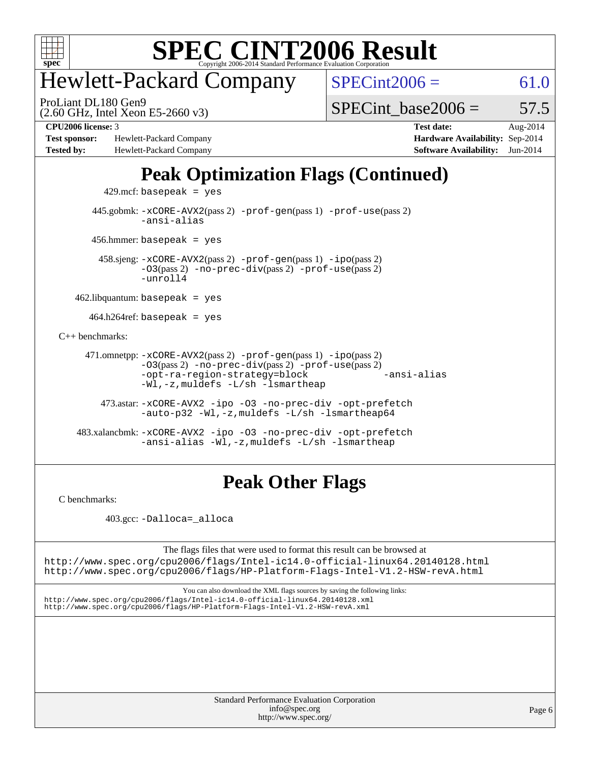

# Hewlett-Packard Company

ProLiant DL180 Gen9

 $SPECint2006 = 61.0$  $SPECint2006 = 61.0$ 

(2.60 GHz, Intel Xeon E5-2660 v3)

SPECint base2006 =  $57.5$ 

**[Test sponsor:](http://www.spec.org/auto/cpu2006/Docs/result-fields.html#Testsponsor)** Hewlett-Packard Company **[Hardware Availability:](http://www.spec.org/auto/cpu2006/Docs/result-fields.html#HardwareAvailability)** Sep-2014 **[Tested by:](http://www.spec.org/auto/cpu2006/Docs/result-fields.html#Testedby)** Hewlett-Packard Company **[Software Availability:](http://www.spec.org/auto/cpu2006/Docs/result-fields.html#SoftwareAvailability)** Jun-2014

**[CPU2006 license:](http://www.spec.org/auto/cpu2006/Docs/result-fields.html#CPU2006license)** 3 **[Test date:](http://www.spec.org/auto/cpu2006/Docs/result-fields.html#Testdate)** Aug-2014

## **[Peak Optimization Flags \(Continued\)](http://www.spec.org/auto/cpu2006/Docs/result-fields.html#PeakOptimizationFlags)**

 $429$ .mcf: basepeak = yes

 445.gobmk: [-xCORE-AVX2](http://www.spec.org/cpu2006/results/res2014q3/cpu2006-20140908-31272.flags.html#user_peakPASS2_CFLAGSPASS2_LDCFLAGS445_gobmk_f-xAVX2_5f5fc0cbe2c9f62c816d3e45806c70d7)(pass 2) [-prof-gen](http://www.spec.org/cpu2006/results/res2014q3/cpu2006-20140908-31272.flags.html#user_peakPASS1_CFLAGSPASS1_LDCFLAGS445_gobmk_prof_gen_e43856698f6ca7b7e442dfd80e94a8fc)(pass 1) [-prof-use](http://www.spec.org/cpu2006/results/res2014q3/cpu2006-20140908-31272.flags.html#user_peakPASS2_CFLAGSPASS2_LDCFLAGS445_gobmk_prof_use_bccf7792157ff70d64e32fe3e1250b55)(pass 2) [-ansi-alias](http://www.spec.org/cpu2006/results/res2014q3/cpu2006-20140908-31272.flags.html#user_peakCOPTIMIZE445_gobmk_f-ansi-alias)

456.hmmer: basepeak = yes

 458.sjeng: [-xCORE-AVX2](http://www.spec.org/cpu2006/results/res2014q3/cpu2006-20140908-31272.flags.html#user_peakPASS2_CFLAGSPASS2_LDCFLAGS458_sjeng_f-xAVX2_5f5fc0cbe2c9f62c816d3e45806c70d7)(pass 2) [-prof-gen](http://www.spec.org/cpu2006/results/res2014q3/cpu2006-20140908-31272.flags.html#user_peakPASS1_CFLAGSPASS1_LDCFLAGS458_sjeng_prof_gen_e43856698f6ca7b7e442dfd80e94a8fc)(pass 1) [-ipo](http://www.spec.org/cpu2006/results/res2014q3/cpu2006-20140908-31272.flags.html#user_peakPASS2_CFLAGSPASS2_LDCFLAGS458_sjeng_f-ipo)(pass 2) [-O3](http://www.spec.org/cpu2006/results/res2014q3/cpu2006-20140908-31272.flags.html#user_peakPASS2_CFLAGSPASS2_LDCFLAGS458_sjeng_f-O3)(pass 2) [-no-prec-div](http://www.spec.org/cpu2006/results/res2014q3/cpu2006-20140908-31272.flags.html#user_peakPASS2_CFLAGSPASS2_LDCFLAGS458_sjeng_f-no-prec-div)(pass 2) [-prof-use](http://www.spec.org/cpu2006/results/res2014q3/cpu2006-20140908-31272.flags.html#user_peakPASS2_CFLAGSPASS2_LDCFLAGS458_sjeng_prof_use_bccf7792157ff70d64e32fe3e1250b55)(pass 2)  $-$ unroll4

 $462$ .libquantum: basepeak = yes

 $464.h264$ ref: basepeak = yes

[C++ benchmarks:](http://www.spec.org/auto/cpu2006/Docs/result-fields.html#CXXbenchmarks)

 471.omnetpp: [-xCORE-AVX2](http://www.spec.org/cpu2006/results/res2014q3/cpu2006-20140908-31272.flags.html#user_peakPASS2_CXXFLAGSPASS2_LDCXXFLAGS471_omnetpp_f-xAVX2_5f5fc0cbe2c9f62c816d3e45806c70d7)(pass 2) [-prof-gen](http://www.spec.org/cpu2006/results/res2014q3/cpu2006-20140908-31272.flags.html#user_peakPASS1_CXXFLAGSPASS1_LDCXXFLAGS471_omnetpp_prof_gen_e43856698f6ca7b7e442dfd80e94a8fc)(pass 1) [-ipo](http://www.spec.org/cpu2006/results/res2014q3/cpu2006-20140908-31272.flags.html#user_peakPASS2_CXXFLAGSPASS2_LDCXXFLAGS471_omnetpp_f-ipo)(pass 2) [-O3](http://www.spec.org/cpu2006/results/res2014q3/cpu2006-20140908-31272.flags.html#user_peakPASS2_CXXFLAGSPASS2_LDCXXFLAGS471_omnetpp_f-O3)(pass 2) [-no-prec-div](http://www.spec.org/cpu2006/results/res2014q3/cpu2006-20140908-31272.flags.html#user_peakPASS2_CXXFLAGSPASS2_LDCXXFLAGS471_omnetpp_f-no-prec-div)(pass 2) [-prof-use](http://www.spec.org/cpu2006/results/res2014q3/cpu2006-20140908-31272.flags.html#user_peakPASS2_CXXFLAGSPASS2_LDCXXFLAGS471_omnetpp_prof_use_bccf7792157ff70d64e32fe3e1250b55)(pass 2) [-opt-ra-region-strategy=block](http://www.spec.org/cpu2006/results/res2014q3/cpu2006-20140908-31272.flags.html#user_peakCXXOPTIMIZE471_omnetpp_f-opt-ra-region-strategy_5382940c29ea30302d682fc74bfe0147) [-ansi-alias](http://www.spec.org/cpu2006/results/res2014q3/cpu2006-20140908-31272.flags.html#user_peakCXXOPTIMIZE471_omnetpp_f-ansi-alias) [-Wl,-z,muldefs](http://www.spec.org/cpu2006/results/res2014q3/cpu2006-20140908-31272.flags.html#user_peakEXTRA_LDFLAGS471_omnetpp_link_force_multiple1_74079c344b956b9658436fd1b6dd3a8a) [-L/sh -lsmartheap](http://www.spec.org/cpu2006/results/res2014q3/cpu2006-20140908-31272.flags.html#user_peakEXTRA_LIBS471_omnetpp_SmartHeap_32f6c82aa1ed9c52345d30cf6e4a0499)

 473.astar: [-xCORE-AVX2](http://www.spec.org/cpu2006/results/res2014q3/cpu2006-20140908-31272.flags.html#user_peakCXXOPTIMIZE473_astar_f-xAVX2_5f5fc0cbe2c9f62c816d3e45806c70d7) [-ipo](http://www.spec.org/cpu2006/results/res2014q3/cpu2006-20140908-31272.flags.html#user_peakCXXOPTIMIZE473_astar_f-ipo) [-O3](http://www.spec.org/cpu2006/results/res2014q3/cpu2006-20140908-31272.flags.html#user_peakCXXOPTIMIZE473_astar_f-O3) [-no-prec-div](http://www.spec.org/cpu2006/results/res2014q3/cpu2006-20140908-31272.flags.html#user_peakCXXOPTIMIZE473_astar_f-no-prec-div) [-opt-prefetch](http://www.spec.org/cpu2006/results/res2014q3/cpu2006-20140908-31272.flags.html#user_peakCXXOPTIMIZE473_astar_f-opt-prefetch) [-auto-p32](http://www.spec.org/cpu2006/results/res2014q3/cpu2006-20140908-31272.flags.html#user_peakCXXOPTIMIZE473_astar_f-auto-p32) [-Wl,-z,muldefs](http://www.spec.org/cpu2006/results/res2014q3/cpu2006-20140908-31272.flags.html#user_peakEXTRA_LDFLAGS473_astar_link_force_multiple1_74079c344b956b9658436fd1b6dd3a8a) [-L/sh -lsmartheap64](http://www.spec.org/cpu2006/results/res2014q3/cpu2006-20140908-31272.flags.html#user_peakEXTRA_LIBS473_astar_SmartHeap64_ed4ef857ce90951921efb0d91eb88472)

 483.xalancbmk: [-xCORE-AVX2](http://www.spec.org/cpu2006/results/res2014q3/cpu2006-20140908-31272.flags.html#user_peakCXXOPTIMIZE483_xalancbmk_f-xAVX2_5f5fc0cbe2c9f62c816d3e45806c70d7) [-ipo](http://www.spec.org/cpu2006/results/res2014q3/cpu2006-20140908-31272.flags.html#user_peakCXXOPTIMIZE483_xalancbmk_f-ipo) [-O3](http://www.spec.org/cpu2006/results/res2014q3/cpu2006-20140908-31272.flags.html#user_peakCXXOPTIMIZE483_xalancbmk_f-O3) [-no-prec-div](http://www.spec.org/cpu2006/results/res2014q3/cpu2006-20140908-31272.flags.html#user_peakCXXOPTIMIZE483_xalancbmk_f-no-prec-div) [-opt-prefetch](http://www.spec.org/cpu2006/results/res2014q3/cpu2006-20140908-31272.flags.html#user_peakCXXOPTIMIZE483_xalancbmk_f-opt-prefetch) [-ansi-alias](http://www.spec.org/cpu2006/results/res2014q3/cpu2006-20140908-31272.flags.html#user_peakCXXOPTIMIZE483_xalancbmk_f-ansi-alias) [-Wl,-z,muldefs](http://www.spec.org/cpu2006/results/res2014q3/cpu2006-20140908-31272.flags.html#user_peakEXTRA_LDFLAGS483_xalancbmk_link_force_multiple1_74079c344b956b9658436fd1b6dd3a8a) [-L/sh -lsmartheap](http://www.spec.org/cpu2006/results/res2014q3/cpu2006-20140908-31272.flags.html#user_peakEXTRA_LIBS483_xalancbmk_SmartHeap_32f6c82aa1ed9c52345d30cf6e4a0499)

### **[Peak Other Flags](http://www.spec.org/auto/cpu2006/Docs/result-fields.html#PeakOtherFlags)**

[C benchmarks](http://www.spec.org/auto/cpu2006/Docs/result-fields.html#Cbenchmarks):

403.gcc: [-Dalloca=\\_alloca](http://www.spec.org/cpu2006/results/res2014q3/cpu2006-20140908-31272.flags.html#b403.gcc_peakEXTRA_CFLAGS_Dalloca_be3056838c12de2578596ca5467af7f3)

The flags files that were used to format this result can be browsed at <http://www.spec.org/cpu2006/flags/Intel-ic14.0-official-linux64.20140128.html>

<http://www.spec.org/cpu2006/flags/HP-Platform-Flags-Intel-V1.2-HSW-revA.html>

You can also download the XML flags sources by saving the following links: <http://www.spec.org/cpu2006/flags/Intel-ic14.0-official-linux64.20140128.xml> <http://www.spec.org/cpu2006/flags/HP-Platform-Flags-Intel-V1.2-HSW-revA.xml>